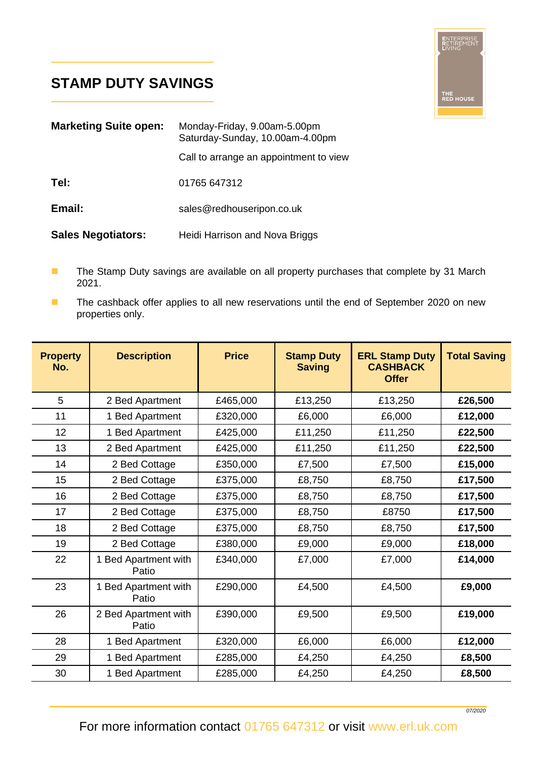## **STAMP DUTY SAVINGS**

L

L



| <b>Marketing Suite open:</b> | Monday-Friday, 9.00am-5.00pm<br>Saturday-Sunday, 10.00am-4.00pm |  |  |
|------------------------------|-----------------------------------------------------------------|--|--|
|                              | Call to arrange an appointment to view                          |  |  |
| Tel:                         | 01765 647312                                                    |  |  |
| Email:                       | sales@redhouseripon.co.uk                                       |  |  |
| <b>Sales Negotiators:</b>    | Heidi Harrison and Nova Briggs                                  |  |  |

- The Stamp Duty savings are available on all property purchases that complete by 31 March 2021.
- The cashback offer applies to all new reservations until the end of September 2020 on new properties only.

| <b>Property</b><br>No. | <b>Description</b>            | <b>Price</b> | <b>Stamp Duty</b><br><b>Saving</b> | <b>ERL Stamp Duty</b><br><b>CASHBACK</b><br><b>Offer</b> | <b>Total Saving</b> |
|------------------------|-------------------------------|--------------|------------------------------------|----------------------------------------------------------|---------------------|
| 5                      | 2 Bed Apartment               | £465,000     | £13,250                            | £13,250                                                  | £26,500             |
| 11                     | 1 Bed Apartment               | £320,000     | £6,000                             | £6,000                                                   | £12,000             |
| 12                     | 1 Bed Apartment               | £425,000     | £11,250                            | £11,250                                                  | £22,500             |
| 13                     | 2 Bed Apartment               | £425,000     | £11,250                            | £11,250                                                  | £22,500             |
| 14                     | 2 Bed Cottage                 | £350,000     | £7,500                             | £7,500                                                   | £15,000             |
| 15                     | 2 Bed Cottage                 | £375,000     | £8,750                             | £8,750                                                   | £17,500             |
| 16                     | 2 Bed Cottage                 | £375,000     | £8,750                             | £8,750                                                   | £17,500             |
| 17                     | 2 Bed Cottage                 | £375,000     | £8,750                             | £8750                                                    | £17,500             |
| 18                     | 2 Bed Cottage                 | £375,000     | £8,750                             | £8,750                                                   | £17,500             |
| 19                     | 2 Bed Cottage                 | £380,000     | £9,000                             | £9,000                                                   | £18,000             |
| 22                     | 1 Bed Apartment with<br>Patio | £340,000     | £7,000                             | £7,000                                                   | £14,000             |
| 23                     | 1 Bed Apartment with<br>Patio | £290,000     | £4,500                             | £4,500                                                   | £9,000              |
| 26                     | 2 Bed Apartment with<br>Patio | £390,000     | £9,500                             | £9,500                                                   | £19,000             |
| 28                     | 1 Bed Apartment               | £320,000     | £6,000                             | £6,000                                                   | £12,000             |
| 29                     | 1 Bed Apartment               | £285,000     | £4,250                             | £4,250                                                   | £8,500              |
| 30                     | 1 Bed Apartment               | £285,000     | £4,250                             | £4,250                                                   | £8,500              |

For more information contact 01765 647312 or visit www.erl.uk.com